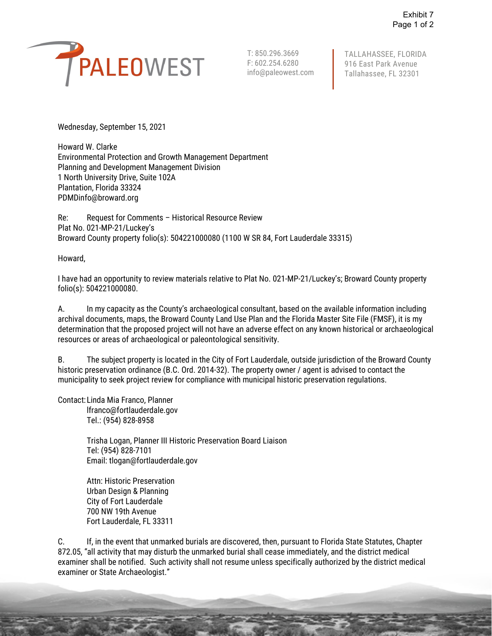

T: 850.296.3669 F: 602.254.6280 info@paleowest.com TALLAHASSEE, FLORIDA 916 East Park Avenue Tallahassee, FL 32301

Wednesday, September 15, 2021

Howard W. Clarke Environmental Protection and Growth Management Department Planning and Development Management Division 1 North University Drive, Suite 102A Plantation, Florida 33324 PDMDinfo@broward.org

Re: Request for Comments – Historical Resource Review Plat No. 021-MP-21/Luckey's Broward County property folio(s): 504221000080 (1100 W SR 84, Fort Lauderdale 33315)

Howard,

I have had an opportunity to review materials relative to Plat No. 021-MP-21/Luckey's; Broward County property folio(s): 504221000080.

A. In my capacity as the County's archaeological consultant, based on the available information including archival documents, maps, the Broward County Land Use Plan and the Florida Master Site File (FMSF), it is my determination that the proposed project will not have an adverse effect on any known historical or archaeological resources or areas of archaeological or paleontological sensitivity.

B. The subject property is located in the City of Fort Lauderdale, outside jurisdiction of the Broward County historic preservation ordinance (B.C. Ord. 2014-32). The property owner / agent is advised to contact the municipality to seek project review for compliance with municipal historic preservation regulations.

Contact:Linda Mia Franco, Planner

lfranco@fortlauderdale.gov Tel.: (954) 828-8958

Trisha Logan, Planner III Historic Preservation Board Liaison Tel: (954) 828-7101 Email: tlogan@fortlauderdale.gov

Attn: Historic Preservation Urban Design & Planning City of Fort Lauderdale 700 NW 19th Avenue Fort Lauderdale, FL 33311

C. If, in the event that unmarked burials are discovered, then, pursuant to Florida State Statutes, Chapter 872.05, "all activity that may disturb the unmarked burial shall cease immediately, and the district medical examiner shall be notified. Such activity shall not resume unless specifically authorized by the district medical examiner or State Archaeologist."